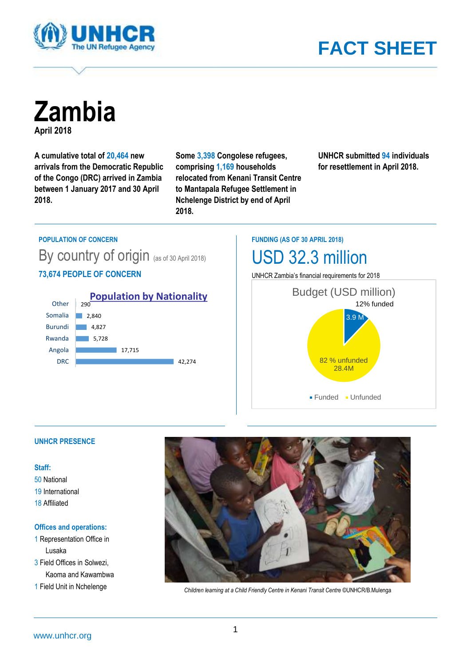

# **FACT SHEET**

**Zambia April 2018**

**A cumulative total of 20,464 new arrivals from the Democratic Republic of the Congo (DRC) arrived in Zambia between 1 January 2017 and 30 April 2018.**

**Some 3,398 Congolese refugees, comprising 1,169 households relocated from Kenani Transit Centre to Mantapala Refugee Settlement in Nchelenge District by end of April 2018.**

**UNHCR submitted 94 individuals for resettlement in April 2018.**

#### **POPULATION OF CONCERN**

By country of origin (as of 30 April 2018) **73,674 PEOPLE OF CONCERN**



**FUNDING (AS OF 30 APRIL 2018)**

## USD 32.3 million

UNHCR Zambia's financial requirements for 2018



## **UNHCR PRESENCE**

#### **Staff:**

50 National 19 International 18 Affiliated

#### **Offices and operations:**

1 Representation Office in Lusaka 3 Field Offices in Solwezi, Kaoma and Kawambwa



1 Field Unit in Nchelenge *Children learning at a Child Friendly Centre in Kenani Transit Centre* ©UNHCR/B.Mulenga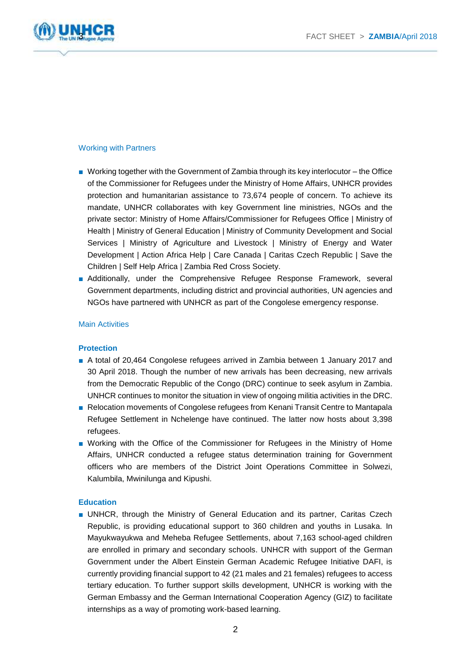

## Working with Partners

- Working together with the Government of Zambia through its key interlocutor the Office of the Commissioner for Refugees under the Ministry of Home Affairs, UNHCR provides protection and humanitarian assistance to 73,674 people of concern. To achieve its mandate, UNHCR collaborates with key Government line ministries, NGOs and the private sector: Ministry of Home Affairs/Commissioner for Refugees Office | Ministry of Health | Ministry of General Education | Ministry of Community Development and Social Services | Ministry of Agriculture and Livestock | Ministry of Energy and Water Development | Action Africa Help | Care Canada | Caritas Czech Republic | Save the Children | Self Help Africa | Zambia Red Cross Society.
- Additionally, under the Comprehensive Refugee Response Framework, several Government departments, including district and provincial authorities, UN agencies and NGOs have partnered with UNHCR as part of the Congolese emergency response.

#### Main Activities

#### **Protection**

- A total of 20,464 Congolese refugees arrived in Zambia between 1 January 2017 and 30 April 2018. Though the number of new arrivals has been decreasing, new arrivals from the Democratic Republic of the Congo (DRC) continue to seek asylum in Zambia. UNHCR continues to monitor the situation in view of ongoing militia activities in the DRC.
- Relocation movements of Congolese refugees from Kenani Transit Centre to Mantapala Refugee Settlement in Nchelenge have continued. The latter now hosts about 3,398 refugees.
- Working with the Office of the Commissioner for Refugees in the Ministry of Home Affairs, UNHCR conducted a refugee status determination training for Government officers who are members of the District Joint Operations Committee in Solwezi, Kalumbila, Mwinilunga and Kipushi.

#### **Education**

■ UNHCR, through the Ministry of General Education and its partner, Caritas Czech Republic, is providing educational support to 360 children and youths in Lusaka. In Mayukwayukwa and Meheba Refugee Settlements, about 7,163 school-aged children are enrolled in primary and secondary schools. UNHCR with support of the German Government under the Albert Einstein German Academic Refugee Initiative DAFI, is currently providing financial support to 42 (21 males and 21 females) refugees to access tertiary education. To further support skills development, UNHCR is working with the German Embassy and the German International Cooperation Agency (GIZ) to facilitate internships as a way of promoting work-based learning.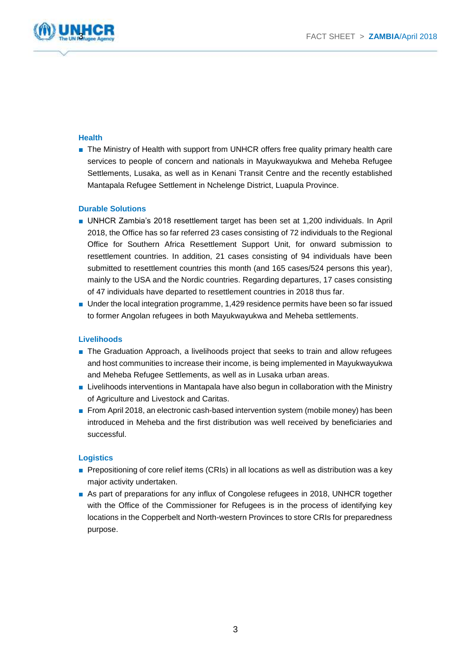

## **Health**

■ The Ministry of Health with support from UNHCR offers free quality primary health care services to people of concern and nationals in Mayukwayukwa and Meheba Refugee Settlements, Lusaka, as well as in Kenani Transit Centre and the recently established Mantapala Refugee Settlement in Nchelenge District, Luapula Province.

## **Durable Solutions**

- UNHCR Zambia's 2018 resettlement target has been set at 1,200 individuals. In April 2018, the Office has so far referred 23 cases consisting of 72 individuals to the Regional Office for Southern Africa Resettlement Support Unit, for onward submission to resettlement countries. In addition, 21 cases consisting of 94 individuals have been submitted to resettlement countries this month (and 165 cases/524 persons this year), mainly to the USA and the Nordic countries. Regarding departures, 17 cases consisting of 47 individuals have departed to resettlement countries in 2018 thus far.
- Under the local integration programme, 1,429 residence permits have been so far issued to former Angolan refugees in both Mayukwayukwa and Meheba settlements.

## **Livelihoods**

- The Graduation Approach, a livelihoods project that seeks to train and allow refugees and host communities to increase their income, is being implemented in Mayukwayukwa and Meheba Refugee Settlements, as well as in Lusaka urban areas.
- Livelihoods interventions in Mantapala have also begun in collaboration with the Ministry of Agriculture and Livestock and Caritas.
- From April 2018, an electronic cash-based intervention system (mobile money) has been introduced in Meheba and the first distribution was well received by beneficiaries and successful.

#### **Logistics**

- Prepositioning of core relief items (CRIs) in all locations as well as distribution was a key major activity undertaken.
- As part of preparations for any influx of Congolese refugees in 2018, UNHCR together with the Office of the Commissioner for Refugees is in the process of identifying key locations in the Copperbelt and North-western Provinces to store CRIs for preparedness purpose.